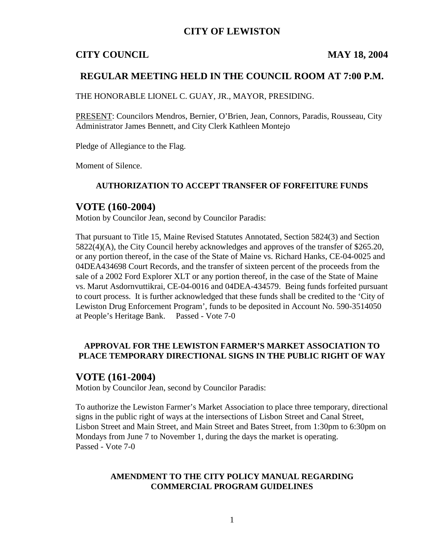### **CITY OF LEWISTON**

### **CITY COUNCIL MAY 18, 2004**

### **REGULAR MEETING HELD IN THE COUNCIL ROOM AT 7:00 P.M.**

THE HONORABLE LIONEL C. GUAY, JR., MAYOR, PRESIDING.

PRESENT: Councilors Mendros, Bernier, O'Brien, Jean, Connors, Paradis, Rousseau, City Administrator James Bennett, and City Clerk Kathleen Montejo

Pledge of Allegiance to the Flag.

Moment of Silence.

#### **AUTHORIZATION TO ACCEPT TRANSFER OF FORFEITURE FUNDS**

### **VOTE (160-2004)**

Motion by Councilor Jean, second by Councilor Paradis:

That pursuant to Title 15, Maine Revised Statutes Annotated, Section 5824(3) and Section 5822(4)(A), the City Council hereby acknowledges and approves of the transfer of \$265.20, or any portion thereof, in the case of the State of Maine vs. Richard Hanks, CE-04-0025 and 04DEA434698 Court Records, and the transfer of sixteen percent of the proceeds from the sale of a 2002 Ford Explorer XLT or any portion thereof, in the case of the State of Maine vs. Marut Asdornvuttikrai, CE-04-0016 and 04DEA-434579. Being funds forfeited pursuant to court process. It is further acknowledged that these funds shall be credited to the 'City of Lewiston Drug Enforcement Program', funds to be deposited in Account No. 590-3514050 at People's Heritage Bank. Passed - Vote 7-0

#### **APPROVAL FOR THE LEWISTON FARMER'S MARKET ASSOCIATION TO PLACE TEMPORARY DIRECTIONAL SIGNS IN THE PUBLIC RIGHT OF WAY**

#### **VOTE (161-2004)**

Motion by Councilor Jean, second by Councilor Paradis:

To authorize the Lewiston Farmer's Market Association to place three temporary, directional signs in the public right of ways at the intersections of Lisbon Street and Canal Street, Lisbon Street and Main Street, and Main Street and Bates Street, from 1:30pm to 6:30pm on Mondays from June 7 to November 1, during the days the market is operating. Passed - Vote 7-0

#### **AMENDMENT TO THE CITY POLICY MANUAL REGARDING COMMERCIAL PROGRAM GUIDELINES**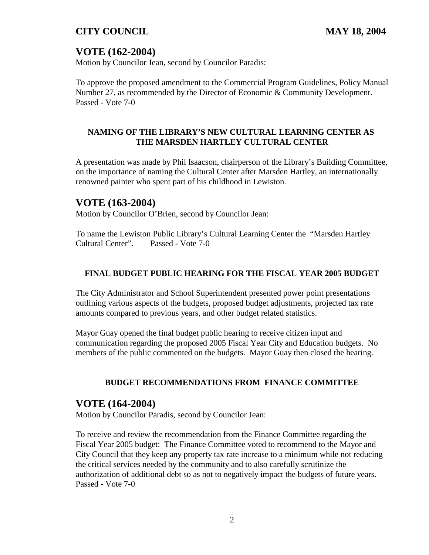# **VOTE (162-2004)**

Motion by Councilor Jean, second by Councilor Paradis:

To approve the proposed amendment to the Commercial Program Guidelines, Policy Manual Number 27, as recommended by the Director of Economic & Community Development. Passed - Vote 7-0

### **NAMING OF THE LIBRARY'S NEW CULTURAL LEARNING CENTER AS THE MARSDEN HARTLEY CULTURAL CENTER**

A presentation was made by Phil Isaacson, chairperson of the Library's Building Committee, on the importance of naming the Cultural Center after Marsden Hartley, an internationally renowned painter who spent part of his childhood in Lewiston.

## **VOTE (163-2004)**

Motion by Councilor O'Brien, second by Councilor Jean:

To name the Lewiston Public Library's Cultural Learning Center the "Marsden Hartley Cultural Center". Passed - Vote 7-0

### **FINAL BUDGET PUBLIC HEARING FOR THE FISCAL YEAR 2005 BUDGET**

The City Administrator and School Superintendent presented power point presentations outlining various aspects of the budgets, proposed budget adjustments, projected tax rate amounts compared to previous years, and other budget related statistics.

Mayor Guay opened the final budget public hearing to receive citizen input and communication regarding the proposed 2005 Fiscal Year City and Education budgets. No members of the public commented on the budgets. Mayor Guay then closed the hearing.

#### **BUDGET RECOMMENDATIONS FROM FINANCE COMMITTEE**

## **VOTE (164-2004)**

Motion by Councilor Paradis, second by Councilor Jean:

To receive and review the recommendation from the Finance Committee regarding the Fiscal Year 2005 budget: The Finance Committee voted to recommend to the Mayor and City Council that they keep any property tax rate increase to a minimum while not reducing the critical services needed by the community and to also carefully scrutinize the authorization of additional debt so as not to negatively impact the budgets of future years. Passed - Vote 7-0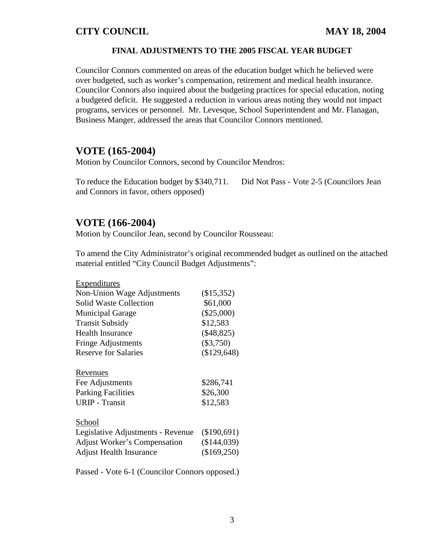#### **FINAL ADJUSTMENTS TO THE 2005 FISCAL YEAR BUDGET**

Councilor Connors commented on areas of the education budget which he believed were over budgeted, such as worker's compensation, retirement and medical health insurance. Councilor Connors also inquired about the budgeting practices for special education, noting a budgeted deficit. He suggested a reduction in various areas noting they would not impact programs, services or personnel. Mr. Levesque, School Superintendent and Mr. Flanagan, Business Manger, addressed the areas that Councilor Connors mentioned.

## **VOTE (165-2004)**

Motion by Councilor Connors, second by Councilor Mendros:

To reduce the Education budget by \$340,711. Did Not Pass - Vote 2-5 (Councilors Jean and Connors in favor, others opposed)

# **VOTE (166-2004)**

Motion by Councilor Jean, second by Councilor Rousseau:

To amend the City Administrator's original recommended budget as outlined on the attached material entitled "City Council Budget Adjustments":

| <b>Expenditures</b>                 |              |
|-------------------------------------|--------------|
| Non-Union Wage Adjustments          | (\$15,352)   |
| <b>Solid Waste Collection</b>       | \$61,000     |
| <b>Municipal Garage</b>             | $(\$25,000)$ |
| <b>Transit Subsidy</b>              | \$12,583     |
| <b>Health Insurance</b>             | $(\$48,825)$ |
| <b>Fringe Adjustments</b>           | $(\$3,750)$  |
| <b>Reserve for Salaries</b>         | (\$129,648)  |
| Revenues                            |              |
| Fee Adjustments                     | \$286,741    |
| <b>Parking Facilities</b>           | \$26,300     |
| <b>URIP</b> - Transit               | \$12,583     |
| School                              |              |
| Legislative Adjustments - Revenue   | (\$190,691)  |
| <b>Adjust Worker's Compensation</b> | (\$144,039)  |
| <b>Adjust Health Insurance</b>      | (\$169,250)  |

Passed - Vote 6-1 (Councilor Connors opposed.)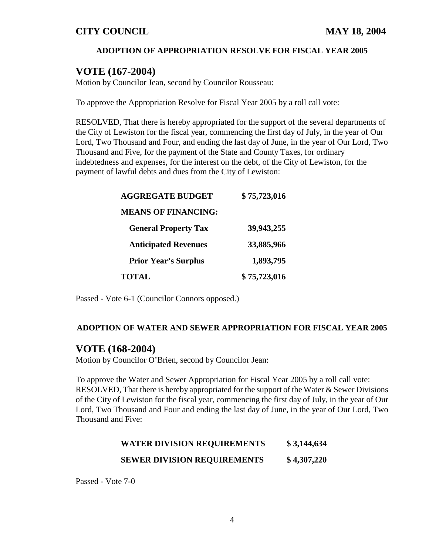#### **ADOPTION OF APPROPRIATION RESOLVE FOR FISCAL YEAR 2005**

### **VOTE (167-2004)**

Motion by Councilor Jean, second by Councilor Rousseau:

To approve the Appropriation Resolve for Fiscal Year 2005 by a roll call vote:

RESOLVED, That there is hereby appropriated for the support of the several departments of the City of Lewiston for the fiscal year, commencing the first day of July, in the year of Our Lord, Two Thousand and Four, and ending the last day of June, in the year of Our Lord, Two Thousand and Five, for the payment of the State and County Taxes, for ordinary indebtedness and expenses, for the interest on the debt, of the City of Lewiston, for the payment of lawful debts and dues from the City of Lewiston:

| <b>AGGREGATE BUDGET</b>     | \$75,723,016 |
|-----------------------------|--------------|
| <b>MEANS OF FINANCING:</b>  |              |
| <b>General Property Tax</b> | 39,943,255   |
| <b>Anticipated Revenues</b> | 33,885,966   |
| <b>Prior Year's Surplus</b> | 1,893,795    |
| <b>TOTAL</b>                | \$75,723,016 |

Passed - Vote 6-1 (Councilor Connors opposed.)

#### **ADOPTION OF WATER AND SEWER APPROPRIATION FOR FISCAL YEAR 2005**

### **VOTE (168-2004)**

Motion by Councilor O'Brien, second by Councilor Jean:

To approve the Water and Sewer Appropriation for Fiscal Year 2005 by a roll call vote: RESOLVED, That there is hereby appropriated for the support of the Water & Sewer Divisions of the City of Lewiston for the fiscal year, commencing the first day of July, in the year of Our Lord, Two Thousand and Four and ending the last day of June, in the year of Our Lord, Two Thousand and Five:

| <b>WATER DIVISION REQUIREMENTS</b> | \$3,144,634              |
|------------------------------------|--------------------------|
| $C$ <del>-</del>                   | $\lambda$ <i>and</i> and |

**SEWER DIVISION REQUIREMENTS \$ 4,307,220**

Passed - Vote 7-0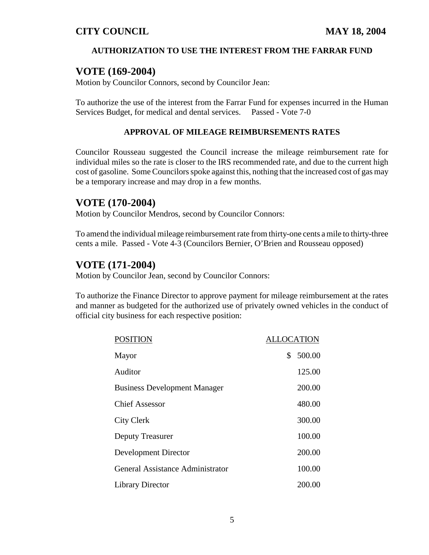### **AUTHORIZATION TO USE THE INTEREST FROM THE FARRAR FUND**

## **VOTE (169-2004)**

Motion by Councilor Connors, second by Councilor Jean:

To authorize the use of the interest from the Farrar Fund for expenses incurred in the Human Services Budget, for medical and dental services. Passed - Vote 7-0

#### **APPROVAL OF MILEAGE REIMBURSEMENTS RATES**

Councilor Rousseau suggested the Council increase the mileage reimbursement rate for individual miles so the rate is closer to the IRS recommended rate, and due to the current high cost of gasoline. Some Councilors spoke against this, nothing that the increased cost of gas may be a temporary increase and may drop in a few months.

### **VOTE (170-2004)**

Motion by Councilor Mendros, second by Councilor Connors:

To amend the individual mileage reimbursement rate from thirty-one cents a mile to thirty-three cents a mile. Passed - Vote 4-3 (Councilors Bernier, O'Brien and Rousseau opposed)

### **VOTE (171-2004)**

Motion by Councilor Jean, second by Councilor Connors:

To authorize the Finance Director to approve payment for mileage reimbursement at the rates and manner as budgeted for the authorized use of privately owned vehicles in the conduct of official city business for each respective position:

| <b>POSITION</b>                         | <b>ALLOCATION</b> |
|-----------------------------------------|-------------------|
| Mayor                                   | 500.00<br>S       |
| Auditor                                 | 125.00            |
| <b>Business Development Manager</b>     | 200.00            |
| <b>Chief Assessor</b>                   | 480.00            |
| <b>City Clerk</b>                       | 300.00            |
| <b>Deputy Treasurer</b>                 | 100.00            |
| Development Director                    | 200.00            |
| <b>General Assistance Administrator</b> | 100.00            |
| <b>Library Director</b>                 | 200.00            |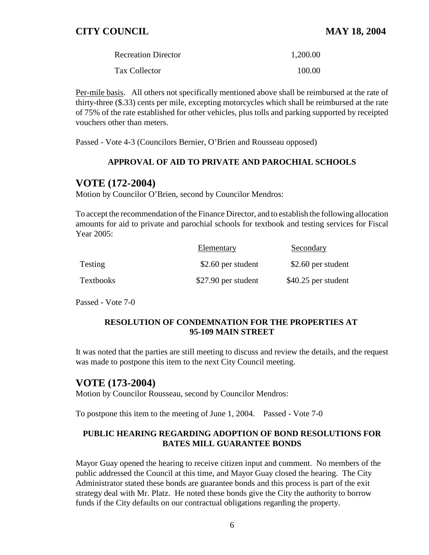| <b>Recreation Director</b> | 1,200.00 |
|----------------------------|----------|
| Tax Collector              | 100.00   |

Per-mile basis. All others not specifically mentioned above shall be reimbursed at the rate of thirty-three (\$.33) cents per mile, excepting motorcycles which shall be reimbursed at the rate of 75% of the rate established for other vehicles, plus tolls and parking supported by receipted vouchers other than meters.

Passed - Vote 4-3 (Councilors Bernier, O'Brien and Rousseau opposed)

### **APPROVAL OF AID TO PRIVATE AND PAROCHIAL SCHOOLS**

### **VOTE (172-2004)**

Motion by Councilor O'Brien, second by Councilor Mendros:

To accept the recommendation of the Finance Director, and to establish the following allocation amounts for aid to private and parochial schools for textbook and testing services for Fiscal Year 2005:

|                  | Elementary          | Secondary           |
|------------------|---------------------|---------------------|
| Testing          | \$2.60 per student  | \$2.60 per student  |
| <b>Textbooks</b> | \$27.90 per student | \$40.25 per student |

Passed - Vote 7-0

#### **RESOLUTION OF CONDEMNATION FOR THE PROPERTIES AT 95-109 MAIN STREET**

It was noted that the parties are still meeting to discuss and review the details, and the request was made to postpone this item to the next City Council meeting.

### **VOTE (173-2004)**

Motion by Councilor Rousseau, second by Councilor Mendros:

To postpone this item to the meeting of June 1, 2004. Passed - Vote 7-0

#### **PUBLIC HEARING REGARDING ADOPTION OF BOND RESOLUTIONS FOR BATES MILL GUARANTEE BONDS**

Mayor Guay opened the hearing to receive citizen input and comment. No members of the public addressed the Council at this time, and Mayor Guay closed the hearing. The City Administrator stated these bonds are guarantee bonds and this process is part of the exit strategy deal with Mr. Platz. He noted these bonds give the City the authority to borrow funds if the City defaults on our contractual obligations regarding the property.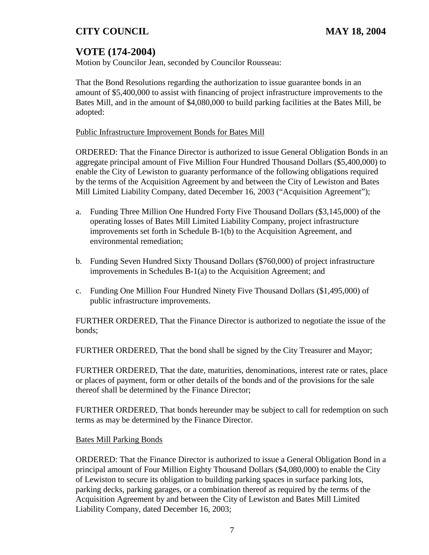# **VOTE (174-2004)**

Motion by Councilor Jean, seconded by Councilor Rousseau:

That the Bond Resolutions regarding the authorization to issue guarantee bonds in an amount of \$5,400,000 to assist with financing of project infrastructure improvements to the Bates Mill, and in the amount of \$4,080,000 to build parking facilities at the Bates Mill, be adopted:

#### Public Infrastructure Improvement Bonds for Bates Mill

ORDERED: That the Finance Director is authorized to issue General Obligation Bonds in an aggregate principal amount of Five Million Four Hundred Thousand Dollars (\$5,400,000) to enable the City of Lewiston to guaranty performance of the following obligations required by the terms of the Acquisition Agreement by and between the City of Lewiston and Bates Mill Limited Liability Company, dated December 16, 2003 ("Acquisition Agreement");

- a. Funding Three Million One Hundred Forty Five Thousand Dollars (\$3,145,000) of the operating losses of Bates Mill Limited Liability Company, project infrastructure improvements set forth in Schedule B-1(b) to the Acquisition Agreement, and environmental remediation;
- b. Funding Seven Hundred Sixty Thousand Dollars (\$760,000) of project infrastructure improvements in Schedules B-1(a) to the Acquisition Agreement; and
- c. Funding One Million Four Hundred Ninety Five Thousand Dollars (\$1,495,000) of public infrastructure improvements.

FURTHER ORDERED, That the Finance Director is authorized to negotiate the issue of the bonds;

FURTHER ORDERED, That the bond shall be signed by the City Treasurer and Mayor;

FURTHER ORDERED, That the date, maturities, denominations, interest rate or rates, place or places of payment, form or other details of the bonds and of the provisions for the sale thereof shall be determined by the Finance Director;

FURTHER ORDERED, That bonds hereunder may be subject to call for redemption on such terms as may be determined by the Finance Director.

#### Bates Mill Parking Bonds

ORDERED: That the Finance Director is authorized to issue a General Obligation Bond in a principal amount of Four Million Eighty Thousand Dollars (\$4,080,000) to enable the City of Lewiston to secure its obligation to building parking spaces in surface parking lots, parking decks, parking garages, or a combination thereof as required by the terms of the Acquisition Agreement by and between the City of Lewiston and Bates Mill Limited Liability Company, dated December 16, 2003;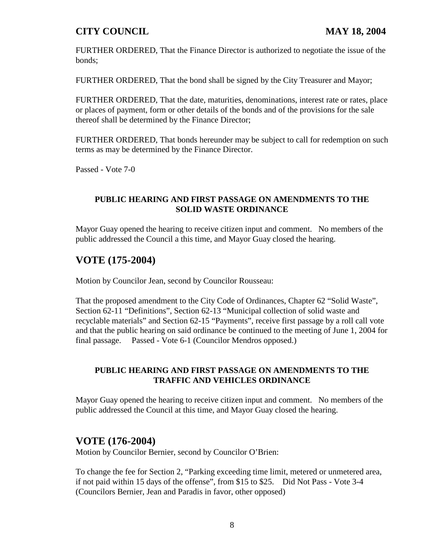FURTHER ORDERED, That the Finance Director is authorized to negotiate the issue of the bonds;

FURTHER ORDERED, That the bond shall be signed by the City Treasurer and Mayor;

FURTHER ORDERED, That the date, maturities, denominations, interest rate or rates, place or places of payment, form or other details of the bonds and of the provisions for the sale thereof shall be determined by the Finance Director;

FURTHER ORDERED, That bonds hereunder may be subject to call for redemption on such terms as may be determined by the Finance Director.

Passed - Vote 7-0

### **PUBLIC HEARING AND FIRST PASSAGE ON AMENDMENTS TO THE SOLID WASTE ORDINANCE**

Mayor Guay opened the hearing to receive citizen input and comment. No members of the public addressed the Council a this time, and Mayor Guay closed the hearing.

# **VOTE (175-2004)**

Motion by Councilor Jean, second by Councilor Rousseau:

That the proposed amendment to the City Code of Ordinances, Chapter 62 "Solid Waste", Section 62-11 "Definitions", Section 62-13 "Municipal collection of solid waste and recyclable materials" and Section 62-15 "Payments", receive first passage by a roll call vote and that the public hearing on said ordinance be continued to the meeting of June 1, 2004 for final passage. Passed - Vote 6-1 (Councilor Mendros opposed.)

#### **PUBLIC HEARING AND FIRST PASSAGE ON AMENDMENTS TO THE TRAFFIC AND VEHICLES ORDINANCE**

Mayor Guay opened the hearing to receive citizen input and comment. No members of the public addressed the Council at this time, and Mayor Guay closed the hearing.

# **VOTE (176-2004)**

Motion by Councilor Bernier, second by Councilor O'Brien:

To change the fee for Section 2, "Parking exceeding time limit, metered or unmetered area, if not paid within 15 days of the offense", from \$15 to \$25. Did Not Pass - Vote 3-4 (Councilors Bernier, Jean and Paradis in favor, other opposed)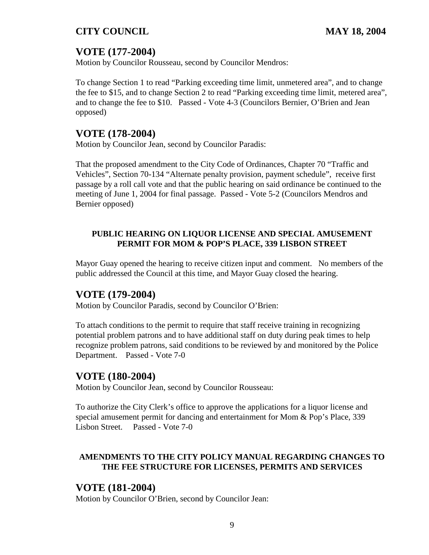# **VOTE (177-2004)**

Motion by Councilor Rousseau, second by Councilor Mendros:

To change Section 1 to read "Parking exceeding time limit, unmetered area", and to change the fee to \$15, and to change Section 2 to read "Parking exceeding time limit, metered area", and to change the fee to \$10. Passed - Vote 4-3 (Councilors Bernier, O'Brien and Jean opposed)

# **VOTE (178-2004)**

Motion by Councilor Jean, second by Councilor Paradis:

That the proposed amendment to the City Code of Ordinances, Chapter 70 "Traffic and Vehicles", Section 70-134 "Alternate penalty provision, payment schedule", receive first passage by a roll call vote and that the public hearing on said ordinance be continued to the meeting of June 1, 2004 for final passage. Passed - Vote 5-2 (Councilors Mendros and Bernier opposed)

### **PUBLIC HEARING ON LIQUOR LICENSE AND SPECIAL AMUSEMENT PERMIT FOR MOM & POP'S PLACE, 339 LISBON STREET**

Mayor Guay opened the hearing to receive citizen input and comment. No members of the public addressed the Council at this time, and Mayor Guay closed the hearing.

## **VOTE (179-2004)**

Motion by Councilor Paradis, second by Councilor O'Brien:

To attach conditions to the permit to require that staff receive training in recognizing potential problem patrons and to have additional staff on duty during peak times to help recognize problem patrons, said conditions to be reviewed by and monitored by the Police Department. Passed - Vote 7-0

## **VOTE (180-2004)**

Motion by Councilor Jean, second by Councilor Rousseau:

To authorize the City Clerk's office to approve the applications for a liquor license and special amusement permit for dancing and entertainment for Mom & Pop's Place, 339 Lisbon Street. Passed - Vote 7-0

### **AMENDMENTS TO THE CITY POLICY MANUAL REGARDING CHANGES TO THE FEE STRUCTURE FOR LICENSES, PERMITS AND SERVICES**

## **VOTE (181-2004)**

Motion by Councilor O'Brien, second by Councilor Jean: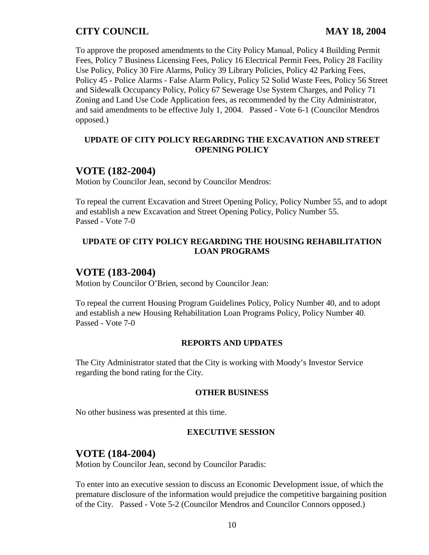To approve the proposed amendments to the City Policy Manual, Policy 4 Building Permit Fees, Policy 7 Business Licensing Fees, Policy 16 Electrical Permit Fees, Policy 28 Facility Use Policy, Policy 30 Fire Alarms, Policy 39 Library Policies, Policy 42 Parking Fees, Policy 45 - Police Alarms - False Alarm Policy, Policy 52 Solid Waste Fees, Policy 56 Street and Sidewalk Occupancy Policy, Policy 67 Sewerage Use System Charges, and Policy 71 Zoning and Land Use Code Application fees, as recommended by the City Administrator, and said amendments to be effective July 1, 2004. Passed - Vote 6-1 (Councilor Mendros opposed.)

#### **UPDATE OF CITY POLICY REGARDING THE EXCAVATION AND STREET OPENING POLICY**

### **VOTE (182-2004)**

Motion by Councilor Jean, second by Councilor Mendros:

To repeal the current Excavation and Street Opening Policy, Policy Number 55, and to adopt and establish a new Excavation and Street Opening Policy, Policy Number 55. Passed - Vote 7-0

#### **UPDATE OF CITY POLICY REGARDING THE HOUSING REHABILITATION LOAN PROGRAMS**

### **VOTE (183-2004)**

Motion by Councilor O'Brien, second by Councilor Jean:

To repeal the current Housing Program Guidelines Policy, Policy Number 40, and to adopt and establish a new Housing Rehabilitation Loan Programs Policy, Policy Number 40. Passed - Vote 7-0

#### **REPORTS AND UPDATES**

The City Administrator stated that the City is working with Moody's Investor Service regarding the bond rating for the City.

#### **OTHER BUSINESS**

No other business was presented at this time.

#### **EXECUTIVE SESSION**

#### **VOTE (184-2004)**

Motion by Councilor Jean, second by Councilor Paradis:

To enter into an executive session to discuss an Economic Development issue, of which the premature disclosure of the information would prejudice the competitive bargaining position of the City. Passed - Vote 5-2 (Councilor Mendros and Councilor Connors opposed.)